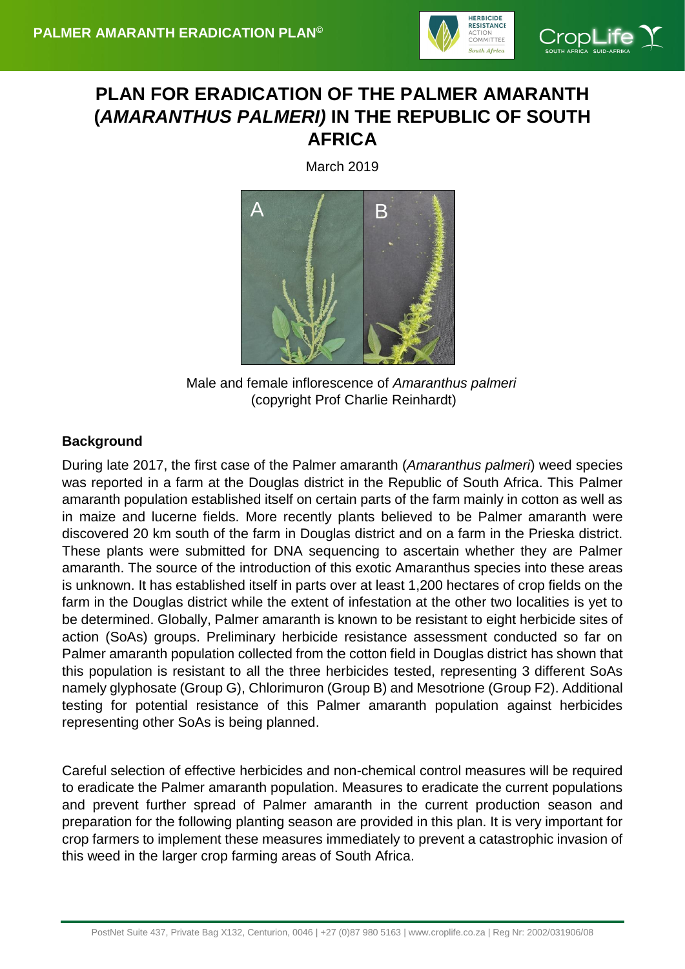

# **PLAN FOR ERADICATION OF THE PALMER AMARANTH (***AMARANTHUS PALMERI)* **IN THE REPUBLIC OF SOUTH AFRICA**

March 2019



Male and female inflorescence of *Amaranthus palmeri* (copyright Prof Charlie Reinhardt)

## **Background**

During late 2017, the first case of the Palmer amaranth (*Amaranthus palmeri*) weed species was reported in a farm at the Douglas district in the Republic of South Africa. This Palmer amaranth population established itself on certain parts of the farm mainly in cotton as well as in maize and lucerne fields. More recently plants believed to be Palmer amaranth were discovered 20 km south of the farm in Douglas district and on a farm in the Prieska district. These plants were submitted for DNA sequencing to ascertain whether they are Palmer amaranth. The source of the introduction of this exotic Amaranthus species into these areas is unknown. It has established itself in parts over at least 1,200 hectares of crop fields on the farm in the Douglas district while the extent of infestation at the other two localities is yet to be determined. Globally, Palmer amaranth is known to be resistant to eight herbicide sites of action (SoAs) groups. Preliminary herbicide resistance assessment conducted so far on Palmer amaranth population collected from the cotton field in Douglas district has shown that this population is resistant to all the three herbicides tested, representing 3 different SoAs namely glyphosate (Group G), Chlorimuron (Group B) and Mesotrione (Group F2). Additional testing for potential resistance of this Palmer amaranth population against herbicides representing other SoAs is being planned.

Careful selection of effective herbicides and non-chemical control measures will be required to eradicate the Palmer amaranth population. Measures to eradicate the current populations and prevent further spread of Palmer amaranth in the current production season and preparation for the following planting season are provided in this plan. It is very important for crop farmers to implement these measures immediately to prevent a catastrophic invasion of this weed in the larger crop farming areas of South Africa.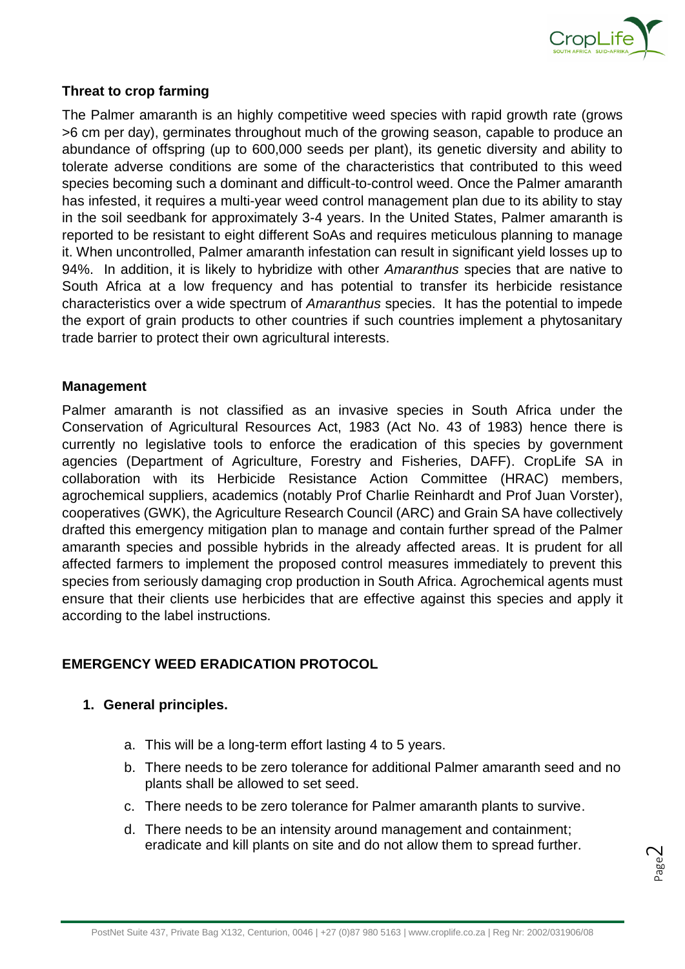

#### **Threat to crop farming**

The Palmer amaranth is an highly competitive weed species with rapid growth rate (grows >6 cm per day), germinates throughout much of the growing season, capable to produce an abundance of offspring (up to 600,000 seeds per plant), its genetic diversity and ability to tolerate adverse conditions are some of the characteristics that contributed to this weed species becoming such a dominant and difficult-to-control weed. Once the Palmer amaranth has infested, it requires a multi-year weed control management plan due to its ability to stay in the soil seedbank for approximately 3-4 years. In the United States, Palmer amaranth is reported to be resistant to eight different SoAs and requires meticulous planning to manage it. When uncontrolled, Palmer amaranth infestation can result in significant yield losses up to 94%. In addition, it is likely to hybridize with other *Amaranthus* species that are native to South Africa at a low frequency and has potential to transfer its herbicide resistance characteristics over a wide spectrum of *Amaranthus* species. It has the potential to impede the export of grain products to other countries if such countries implement a phytosanitary trade barrier to protect their own agricultural interests.

#### **Management**

Palmer amaranth is not classified as an invasive species in South Africa under the Conservation of Agricultural Resources Act, 1983 (Act No. 43 of 1983) hence there is currently no legislative tools to enforce the eradication of this species by government agencies (Department of Agriculture, Forestry and Fisheries, DAFF). CropLife SA in collaboration with its Herbicide Resistance Action Committee (HRAC) members, agrochemical suppliers, academics (notably Prof Charlie Reinhardt and Prof Juan Vorster), cooperatives (GWK), the Agriculture Research Council (ARC) and Grain SA have collectively drafted this emergency mitigation plan to manage and contain further spread of the Palmer amaranth species and possible hybrids in the already affected areas. It is prudent for all affected farmers to implement the proposed control measures immediately to prevent this species from seriously damaging crop production in South Africa. Agrochemical agents must ensure that their clients use herbicides that are effective against this species and apply it according to the label instructions.

## **EMERGENCY WEED ERADICATION PROTOCOL**

#### **1. General principles.**

- a. This will be a long-term effort lasting 4 to 5 years.
- b. There needs to be zero tolerance for additional Palmer amaranth seed and no plants shall be allowed to set seed.
- c. There needs to be zero tolerance for Palmer amaranth plants to survive.
- d. There needs to be an intensity around management and containment; eradicate and kill plants on site and do not allow them to spread further.

Page  $\sim$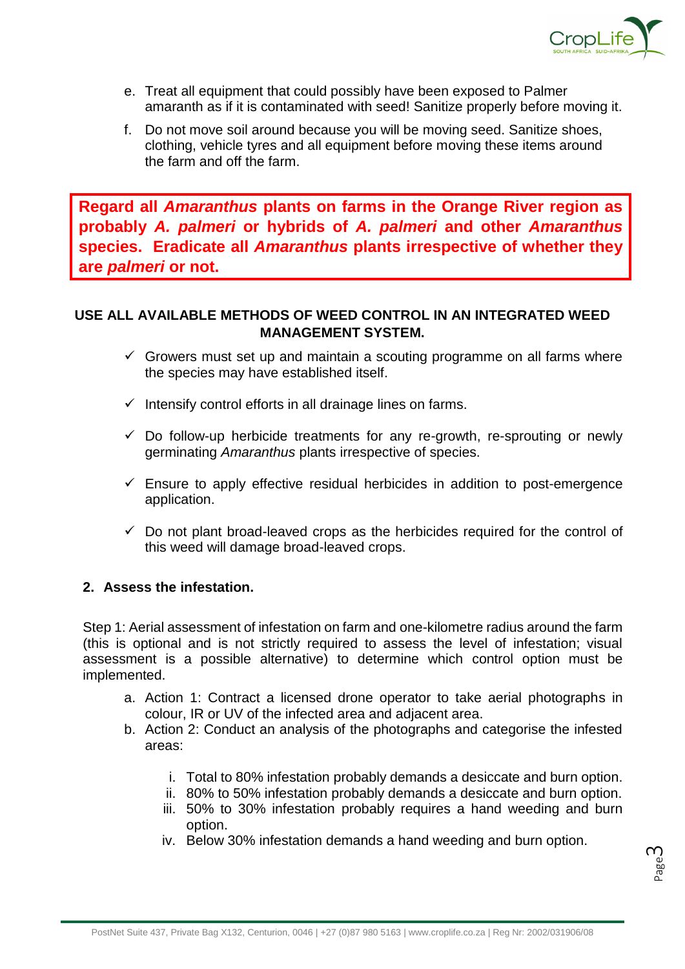

- e. Treat all equipment that could possibly have been exposed to Palmer amaranth as if it is contaminated with seed! Sanitize properly before moving it.
- f. Do not move soil around because you will be moving seed. Sanitize shoes, clothing, vehicle tyres and all equipment before moving these items around the farm and off the farm.

**Regard all** *Amaranthus* **plants on farms in the Orange River region as probably** *A. palmeri* **or hybrids of** *A. palmeri* **and other** *Amaranthus* **species. Eradicate all** *Amaranthus* **plants irrespective of whether they are** *palmeri* **or not.**

## **USE ALL AVAILABLE METHODS OF WEED CONTROL IN AN INTEGRATED WEED MANAGEMENT SYSTEM.**

- $\checkmark$  Growers must set up and maintain a scouting programme on all farms where the species may have established itself.
- $\checkmark$  Intensify control efforts in all drainage lines on farms.
- $\checkmark$  Do follow-up herbicide treatments for any re-growth, re-sprouting or newly germinating *Amaranthus* plants irrespective of species.
- $\checkmark$  Ensure to apply effective residual herbicides in addition to post-emergence application.
- $\checkmark$  Do not plant broad-leaved crops as the herbicides required for the control of this weed will damage broad-leaved crops.

#### **2. Assess the infestation.**

Step 1: Aerial assessment of infestation on farm and one-kilometre radius around the farm (this is optional and is not strictly required to assess the level of infestation; visual assessment is a possible alternative) to determine which control option must be implemented.

- a. Action 1: Contract a licensed drone operator to take aerial photographs in colour, IR or UV of the infected area and adjacent area.
- b. Action 2: Conduct an analysis of the photographs and categorise the infested areas:
	- i. Total to 80% infestation probably demands a desiccate and burn option.
	- ii. 80% to 50% infestation probably demands a desiccate and burn option.
	- iii. 50% to 30% infestation probably requires a hand weeding and burn option.
	- iv. Below 30% infestation demands a hand weeding and burn option.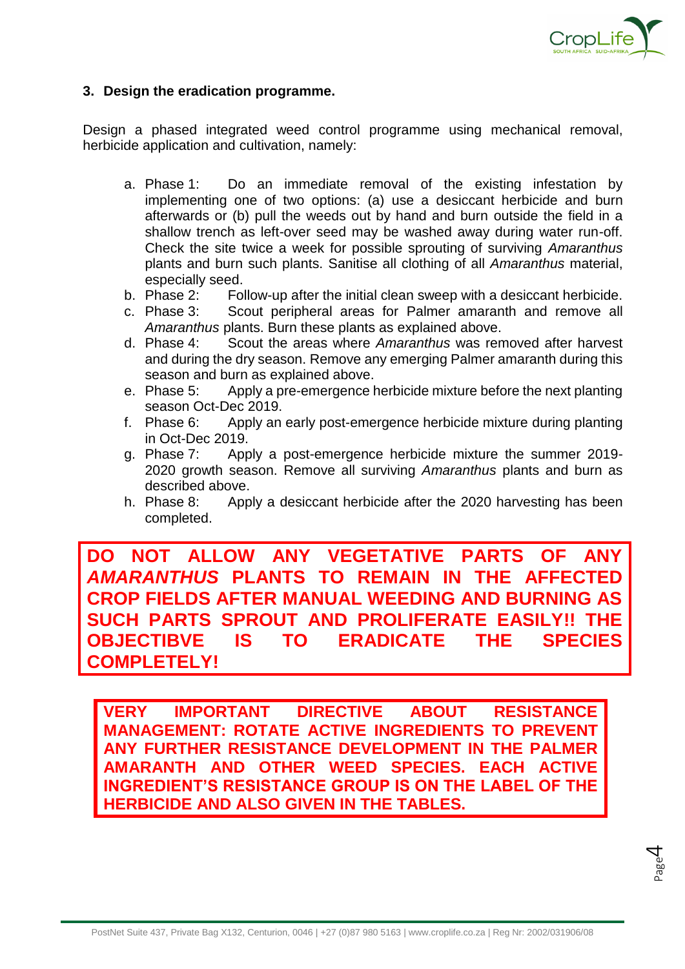

#### **3. Design the eradication programme.**

Design a phased integrated weed control programme using mechanical removal, herbicide application and cultivation, namely:

- a. Phase 1: Do an immediate removal of the existing infestation by implementing one of two options: (a) use a desiccant herbicide and burn afterwards or (b) pull the weeds out by hand and burn outside the field in a shallow trench as left-over seed may be washed away during water run-off. Check the site twice a week for possible sprouting of surviving *Amaranthus* plants and burn such plants. Sanitise all clothing of all *Amaranthus* material, especially seed.
- b. Phase 2: Follow-up after the initial clean sweep with a desiccant herbicide.
- c. Phase 3: Scout peripheral areas for Palmer amaranth and remove all *Amaranthus* plants. Burn these plants as explained above.<br> **d.** Phase 4: Scout the areas where Amaranthus was ren
- Scout the areas where *Amaranthus* was removed after harvest and during the dry season. Remove any emerging Palmer amaranth during this season and burn as explained above.
- e. Phase 5: Apply a pre-emergence herbicide mixture before the next planting season Oct-Dec 2019.
- f. Phase 6: Apply an early post-emergence herbicide mixture during planting in Oct-Dec 2019.
- g. Phase 7: Apply a post-emergence herbicide mixture the summer 2019- 2020 growth season. Remove all surviving *Amaranthus* plants and burn as described above.
- h. Phase 8: Apply a desiccant herbicide after the 2020 harvesting has been completed.

**DO NOT ALLOW ANY VEGETATIVE PARTS OF ANY**  *AMARANTHUS* **PLANTS TO REMAIN IN THE AFFECTED CROP FIELDS AFTER MANUAL WEEDING AND BURNING AS SUCH PARTS SPROUT AND PROLIFERATE EASILY!! THE OBJECTIBVE IS TO ERADICATE THE SPECIES COMPLETELY!**

**VERY IMPORTANT DIRECTIVE ABOUT RESISTANCE MANAGEMENT: ROTATE ACTIVE INGREDIENTS TO PREVENT ANY FURTHER RESISTANCE DEVELOPMENT IN THE PALMER AMARANTH AND OTHER WEED SPECIES. EACH ACTIVE INGREDIENT'S RESISTANCE GROUP IS ON THE LABEL OF THE HERBICIDE AND ALSO GIVEN IN THE TABLES.**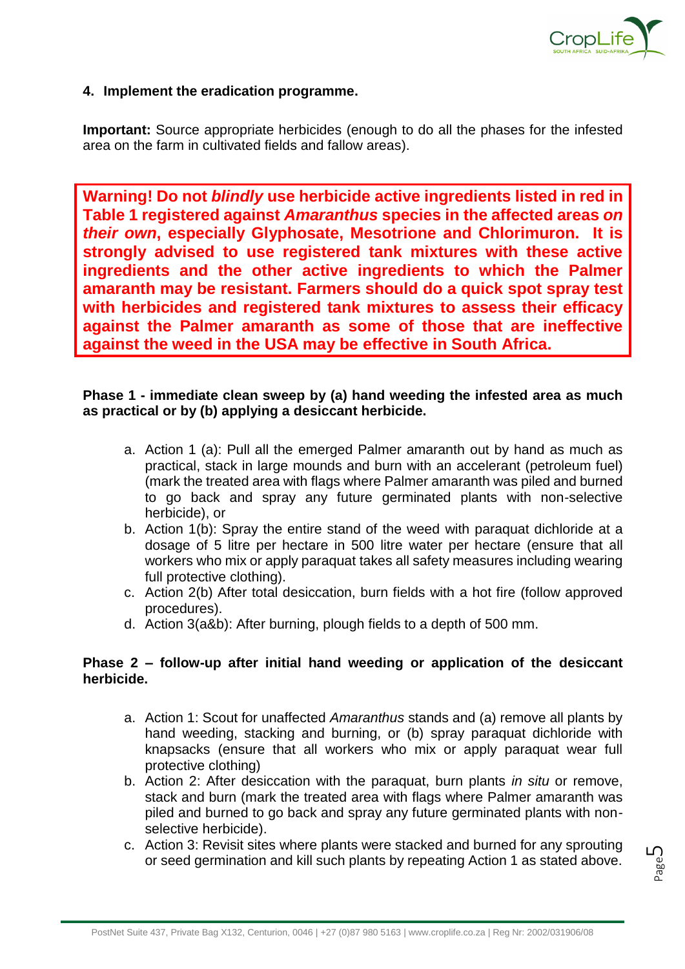

#### **4. Implement the eradication programme.**

**Important:** Source appropriate herbicides (enough to do all the phases for the infested area on the farm in cultivated fields and fallow areas).

**Warning! Do not** *blindly* **use herbicide active ingredients listed in red in Table 1 registered against** *Amaranthus* **species in the affected areas** *on their own***, especially Glyphosate, Mesotrione and Chlorimuron. It is strongly advised to use registered tank mixtures with these active ingredients and the other active ingredients to which the Palmer amaranth may be resistant. Farmers should do a quick spot spray test with herbicides and registered tank mixtures to assess their efficacy against the Palmer amaranth as some of those that are ineffective against the weed in the USA may be effective in South Africa.** 

#### **Phase 1 - immediate clean sweep by (a) hand weeding the infested area as much as practical or by (b) applying a desiccant herbicide.**

- a. Action 1 (a): Pull all the emerged Palmer amaranth out by hand as much as practical, stack in large mounds and burn with an accelerant (petroleum fuel) (mark the treated area with flags where Palmer amaranth was piled and burned to go back and spray any future germinated plants with non-selective herbicide), or
- b. Action 1(b): Spray the entire stand of the weed with paraquat dichloride at a dosage of 5 litre per hectare in 500 litre water per hectare (ensure that all workers who mix or apply paraquat takes all safety measures including wearing full protective clothing).
- c. Action 2(b) After total desiccation, burn fields with a hot fire (follow approved procedures).
- d. Action 3(a&b): After burning, plough fields to a depth of 500 mm.

#### **Phase 2 – follow-up after initial hand weeding or application of the desiccant herbicide.**

- a. Action 1: Scout for unaffected *Amaranthus* stands and (a) remove all plants by hand weeding, stacking and burning, or (b) spray paraquat dichloride with knapsacks (ensure that all workers who mix or apply paraquat wear full protective clothing)
- b. Action 2: After desiccation with the paraquat, burn plants *in situ* or remove, stack and burn (mark the treated area with flags where Palmer amaranth was piled and burned to go back and spray any future germinated plants with nonselective herbicide).
- c. Action 3: Revisit sites where plants were stacked and burned for any sprouting or seed germination and kill such plants by repeating Action 1 as stated above.

Page

ப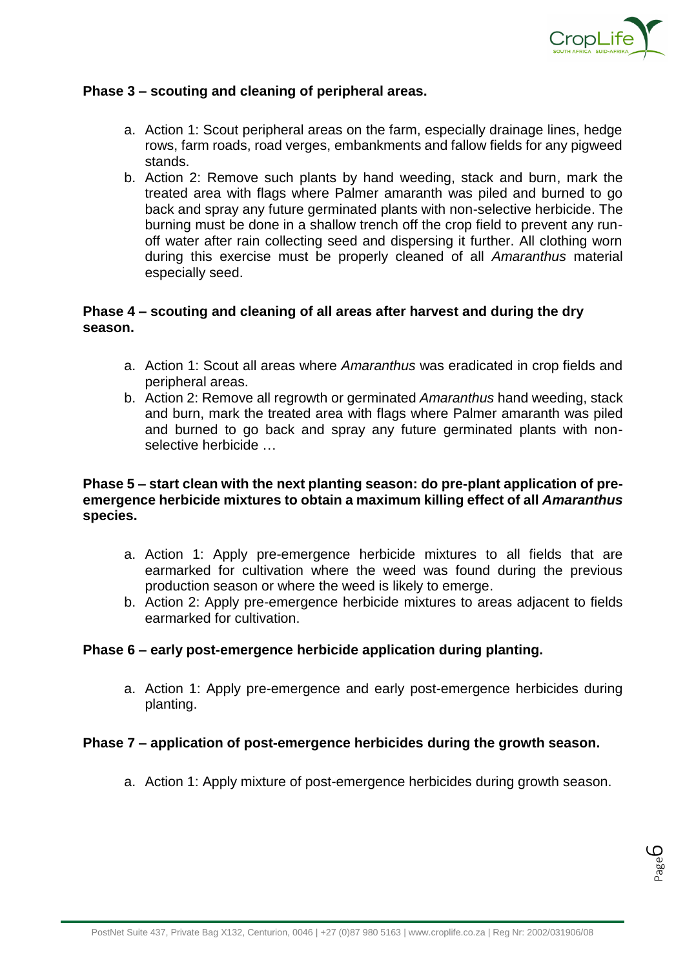

#### **Phase 3 – scouting and cleaning of peripheral areas.**

- a. Action 1: Scout peripheral areas on the farm, especially drainage lines, hedge rows, farm roads, road verges, embankments and fallow fields for any pigweed stands.
- b. Action 2: Remove such plants by hand weeding, stack and burn, mark the treated area with flags where Palmer amaranth was piled and burned to go back and spray any future germinated plants with non-selective herbicide. The burning must be done in a shallow trench off the crop field to prevent any runoff water after rain collecting seed and dispersing it further. All clothing worn during this exercise must be properly cleaned of all *Amaranthus* material especially seed.

#### **Phase 4 – scouting and cleaning of all areas after harvest and during the dry season.**

- a. Action 1: Scout all areas where *Amaranthus* was eradicated in crop fields and peripheral areas.
- b. Action 2: Remove all regrowth or germinated *Amaranthus* hand weeding, stack and burn, mark the treated area with flags where Palmer amaranth was piled and burned to go back and spray any future germinated plants with nonselective herbicide …

#### **Phase 5 – start clean with the next planting season: do pre-plant application of preemergence herbicide mixtures to obtain a maximum killing effect of all** *Amaranthus* **species.**

- a. Action 1: Apply pre-emergence herbicide mixtures to all fields that are earmarked for cultivation where the weed was found during the previous production season or where the weed is likely to emerge.
- b. Action 2: Apply pre-emergence herbicide mixtures to areas adjacent to fields earmarked for cultivation.

#### **Phase 6 – early post-emergence herbicide application during planting.**

a. Action 1: Apply pre-emergence and early post-emergence herbicides during planting.

#### **Phase 7 – application of post-emergence herbicides during the growth season.**

a. Action 1: Apply mixture of post-emergence herbicides during growth season.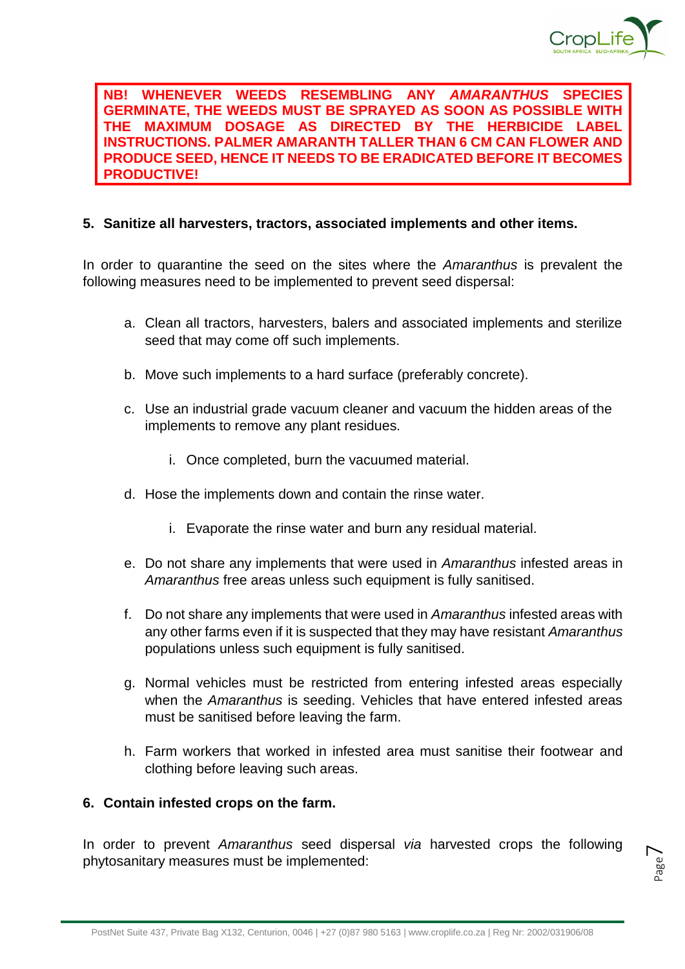

Page  $\overline{\phantom{1}}$ 

**NB! WHENEVER WEEDS RESEMBLING ANY** *AMARANTHUS* **SPECIES GERMINATE, THE WEEDS MUST BE SPRAYED AS SOON AS POSSIBLE WITH THE MAXIMUM DOSAGE AS DIRECTED BY THE HERBICIDE LABEL INSTRUCTIONS. PALMER AMARANTH TALLER THAN 6 CM CAN FLOWER AND PRODUCE SEED, HENCE IT NEEDS TO BE ERADICATED BEFORE IT BECOMES PRODUCTIVE!**

#### **5. Sanitize all harvesters, tractors, associated implements and other items.**

In order to quarantine the seed on the sites where the *Amaranthus* is prevalent the following measures need to be implemented to prevent seed dispersal:

- a. Clean all tractors, harvesters, balers and associated implements and sterilize seed that may come off such implements.
- b. Move such implements to a hard surface (preferably concrete).
- c. Use an industrial grade vacuum cleaner and vacuum the hidden areas of the implements to remove any plant residues.
	- i. Once completed, burn the vacuumed material.
- d. Hose the implements down and contain the rinse water.
	- i. Evaporate the rinse water and burn any residual material.
- e. Do not share any implements that were used in *Amaranthus* infested areas in *Amaranthus* free areas unless such equipment is fully sanitised.
- f. Do not share any implements that were used in *Amaranthus* infested areas with any other farms even if it is suspected that they may have resistant *Amaranthus* populations unless such equipment is fully sanitised.
- g. Normal vehicles must be restricted from entering infested areas especially when the *Amaranthus* is seeding. Vehicles that have entered infested areas must be sanitised before leaving the farm.
- h. Farm workers that worked in infested area must sanitise their footwear and clothing before leaving such areas.

#### **6. Contain infested crops on the farm.**

In order to prevent *Amaranthus* seed dispersal *via* harvested crops the following phytosanitary measures must be implemented: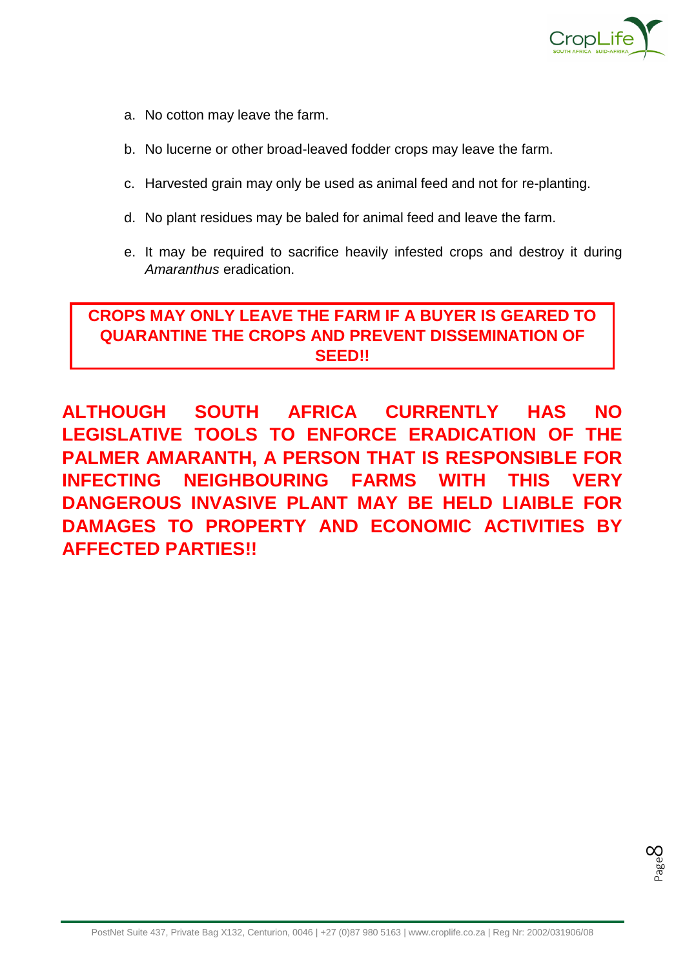

- a. No cotton may leave the farm.
- b. No lucerne or other broad-leaved fodder crops may leave the farm.
- c. Harvested grain may only be used as animal feed and not for re-planting.
- d. No plant residues may be baled for animal feed and leave the farm.
- e. It may be required to sacrifice heavily infested crops and destroy it during *Amaranthus* eradication.

## **CROPS MAY ONLY LEAVE THE FARM IF A BUYER IS GEARED TO QUARANTINE THE CROPS AND PREVENT DISSEMINATION OF SEED!!**

**ALTHOUGH SOUTH AFRICA CURRENTLY HAS NO LEGISLATIVE TOOLS TO ENFORCE ERADICATION OF THE PALMER AMARANTH, A PERSON THAT IS RESPONSIBLE FOR INFECTING NEIGHBOURING FARMS WITH THIS VERY DANGEROUS INVASIVE PLANT MAY BE HELD LIAIBLE FOR DAMAGES TO PROPERTY AND ECONOMIC ACTIVITIES BY AFFECTED PARTIES!!**

Page  $\infty$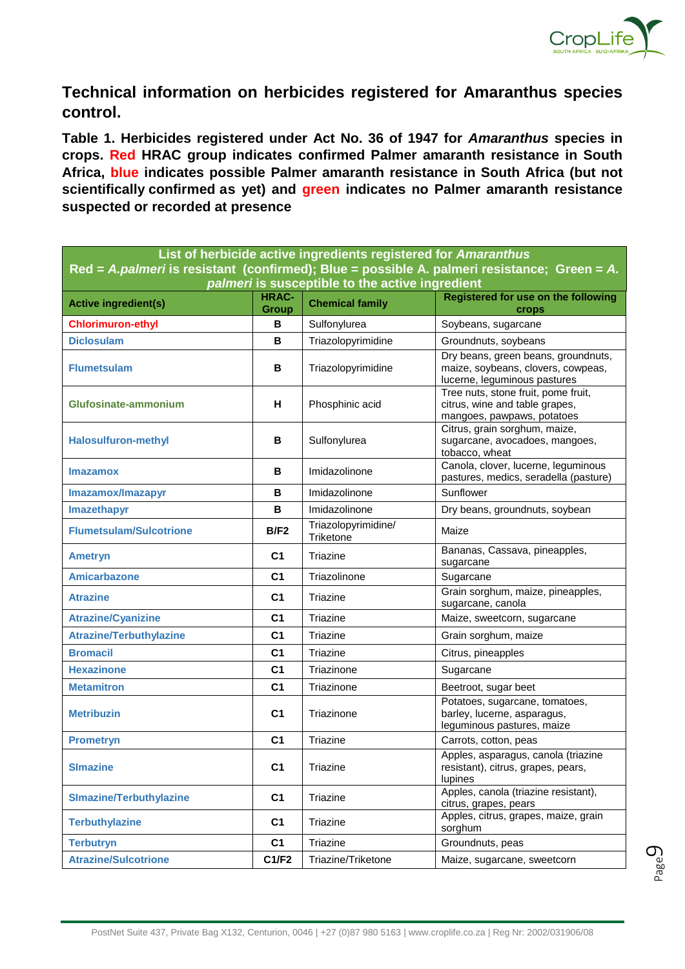

**Technical information on herbicides registered for Amaranthus species control.** 

**Table 1. Herbicides registered under Act No. 36 of 1947 for** *Amaranthus* **species in crops. Red HRAC group indicates confirmed Palmer amaranth resistance in South Africa, blue indicates possible Palmer amaranth resistance in South Africa (but not scientifically confirmed as yet) and green indicates no Palmer amaranth resistance suspected or recorded at presence**

| List of herbicide active ingredients registered for Amaranthus<br>Red = A.palmeri is resistant (confirmed); Blue = possible A. palmeri resistance; Green = A.                            |                |                                  |                                                                                                           |  |  |  |  |
|------------------------------------------------------------------------------------------------------------------------------------------------------------------------------------------|----------------|----------------------------------|-----------------------------------------------------------------------------------------------------------|--|--|--|--|
| palmeri is susceptible to the active ingredient<br><b>HRAC-</b><br>Registered for use on the following<br><b>Chemical family</b><br><b>Active ingredient(s)</b><br><b>Group</b><br>crops |                |                                  |                                                                                                           |  |  |  |  |
| <b>Chlorimuron-ethyl</b>                                                                                                                                                                 | в              | Sulfonylurea                     | Soybeans, sugarcane                                                                                       |  |  |  |  |
| <b>Diclosulam</b>                                                                                                                                                                        | B              | Triazolopyrimidine               | Groundnuts, soybeans                                                                                      |  |  |  |  |
| <b>Flumetsulam</b>                                                                                                                                                                       | В              | Triazolopyrimidine               | Dry beans, green beans, groundnuts,<br>maize, soybeans, clovers, cowpeas,<br>lucerne, leguminous pastures |  |  |  |  |
| Glufosinate-ammonium                                                                                                                                                                     | н              | Phosphinic acid                  | Tree nuts, stone fruit, pome fruit,<br>citrus, wine and table grapes,<br>mangoes, pawpaws, potatoes       |  |  |  |  |
| <b>Halosulfuron-methyl</b>                                                                                                                                                               | B              | Sulfonylurea                     | Citrus, grain sorghum, maize,<br>sugarcane, avocadoes, mangoes,<br>tobacco, wheat                         |  |  |  |  |
| <b>Imazamox</b>                                                                                                                                                                          | В              | Imidazolinone                    | Canola, clover, lucerne, leguminous<br>pastures, medics, seradella (pasture)                              |  |  |  |  |
| Imazamox/Imazapyr                                                                                                                                                                        | В              | Imidazolinone                    | Sunflower                                                                                                 |  |  |  |  |
| Imazethapyr                                                                                                                                                                              | B              | Imidazolinone                    | Dry beans, groundnuts, soybean                                                                            |  |  |  |  |
| <b>Flumetsulam/Sulcotrione</b>                                                                                                                                                           | B/F2           | Triazolopyrimidine/<br>Triketone | Maize                                                                                                     |  |  |  |  |
| <b>Ametryn</b>                                                                                                                                                                           | C <sub>1</sub> | Triazine                         | Bananas, Cassava, pineapples,<br>sugarcane                                                                |  |  |  |  |
| <b>Amicarbazone</b>                                                                                                                                                                      | C <sub>1</sub> | Triazolinone                     | Sugarcane                                                                                                 |  |  |  |  |
| <b>Atrazine</b>                                                                                                                                                                          | C <sub>1</sub> | Triazine                         | Grain sorghum, maize, pineapples,<br>sugarcane, canola                                                    |  |  |  |  |
| <b>Atrazine/Cyanizine</b>                                                                                                                                                                | C <sub>1</sub> | Triazine                         | Maize, sweetcorn, sugarcane                                                                               |  |  |  |  |
| <b>Atrazine/Terbuthylazine</b>                                                                                                                                                           | C <sub>1</sub> | Triazine                         | Grain sorghum, maize                                                                                      |  |  |  |  |
| <b>Bromacil</b>                                                                                                                                                                          | C <sub>1</sub> | Triazine                         | Citrus, pineapples                                                                                        |  |  |  |  |
| <b>Hexazinone</b>                                                                                                                                                                        | C <sub>1</sub> | Triazinone                       | Sugarcane                                                                                                 |  |  |  |  |
| <b>Metamitron</b>                                                                                                                                                                        | C <sub>1</sub> | Triazinone                       | Beetroot, sugar beet                                                                                      |  |  |  |  |
| <b>Metribuzin</b>                                                                                                                                                                        | C <sub>1</sub> | Triazinone                       | Potatoes, sugarcane, tomatoes,<br>barley, lucerne, asparagus,<br>leguminous pastures, maize               |  |  |  |  |
| <b>Prometryn</b>                                                                                                                                                                         | C <sub>1</sub> | Triazine                         | Carrots, cotton, peas                                                                                     |  |  |  |  |
| <b>SImazine</b>                                                                                                                                                                          | C <sub>1</sub> | Triazine                         | Apples, asparagus, canola (triazine<br>resistant), citrus, grapes, pears,<br>lupines                      |  |  |  |  |
| <b>SImazine/Terbuthylazine</b>                                                                                                                                                           | C <sub>1</sub> | Triazine                         | Apples, canola (triazine resistant),<br>citrus, grapes, pears                                             |  |  |  |  |
| <b>Terbuthylazine</b>                                                                                                                                                                    | C <sub>1</sub> | Triazine                         | Apples, citrus, grapes, maize, grain<br>sorghum                                                           |  |  |  |  |
| <b>Terbutryn</b>                                                                                                                                                                         | C <sub>1</sub> | Triazine                         | Groundnuts, peas                                                                                          |  |  |  |  |
| <b>Atrazine/Sulcotrione</b>                                                                                                                                                              | C1/F2          | Triazine/Triketone               | Maize, sugarcane, sweetcorn                                                                               |  |  |  |  |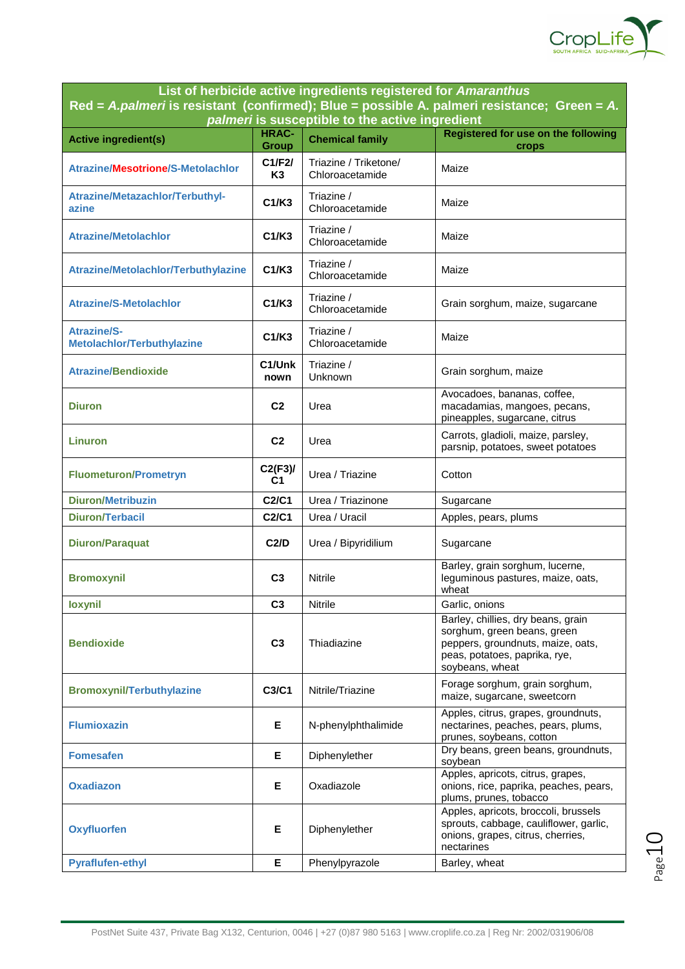

**List of herbicide active ingredients registered for** *Amaranthus* **Red =** *A.palmeri* **is resistant (confirmed); Blue = possible A. palmeri resistance; Green =** *A. palmeri* **is susceptible to the active ingredient** 

|                                                  |                              | $\alpha$ and $\alpha$ is susceptible to the active ingredient |                                                                                                                                                            |
|--------------------------------------------------|------------------------------|---------------------------------------------------------------|------------------------------------------------------------------------------------------------------------------------------------------------------------|
| <b>Active ingredient(s)</b>                      | <b>HRAC-</b><br><b>Group</b> | <b>Chemical family</b>                                        | Registered for use on the following<br>crops                                                                                                               |
| <b>Atrazine/Mesotrione/S-Metolachlor</b>         | C1/F2I<br>K <sub>3</sub>     | Triazine / Triketone/<br>Chloroacetamide                      | Maize                                                                                                                                                      |
| Atrazine/Metazachlor/Terbuthyl-<br>azine         | C1/K3                        | Triazine /<br>Chloroacetamide                                 | Maize                                                                                                                                                      |
| <b>Atrazine/Metolachlor</b>                      | C1/K3                        | Triazine /<br>Chloroacetamide                                 | Maize                                                                                                                                                      |
| Atrazine/Metolachlor/Terbuthylazine              | C1/K3                        | Triazine /<br>Chloroacetamide                                 | Maize                                                                                                                                                      |
| <b>Atrazine/S-Metolachlor</b>                    | C1/K3                        | Triazine /<br>Chloroacetamide                                 | Grain sorghum, maize, sugarcane                                                                                                                            |
| <b>Atrazine/S-</b><br>Metolachlor/Terbuthylazine | C1/K3                        | Triazine /<br>Chloroacetamide                                 | Maize                                                                                                                                                      |
| <b>Atrazine/Bendioxide</b>                       | C1/Unk<br>nown               | Triazine /<br>Unknown                                         | Grain sorghum, maize                                                                                                                                       |
| <b>Diuron</b>                                    | C <sub>2</sub>               | Urea                                                          | Avocadoes, bananas, coffee,<br>macadamias, mangoes, pecans,<br>pineapples, sugarcane, citrus                                                               |
| Linuron                                          | C <sub>2</sub>               | Urea                                                          | Carrots, gladioli, maize, parsley,<br>parsnip, potatoes, sweet potatoes                                                                                    |
| <b>Fluometuron/Prometryn</b>                     | $C2(F3)$ /<br>C <sub>1</sub> | Urea / Triazine                                               | Cotton                                                                                                                                                     |
| <b>Diuron/Metribuzin</b>                         | C2/C1                        | Urea / Triazinone                                             | Sugarcane                                                                                                                                                  |
| <b>Diuron/Terbacil</b>                           | C2/C1                        | Urea / Uracil                                                 | Apples, pears, plums                                                                                                                                       |
| <b>Diuron/Paraquat</b>                           | C2/D                         | Urea / Bipyridilium                                           | Sugarcane                                                                                                                                                  |
| <b>Bromoxynil</b>                                | C <sub>3</sub>               | <b>Nitrile</b>                                                | Barley, grain sorghum, lucerne,<br>leguminous pastures, maize, oats,<br>wheat                                                                              |
| loxynil                                          | C <sub>3</sub>               | <b>Nitrile</b>                                                | Garlic, onions                                                                                                                                             |
| <b>Bendioxide</b>                                | C <sub>3</sub>               | Thiadiazine                                                   | Barley, chillies, dry beans, grain<br>sorghum, green beans, green<br>peppers, groundnuts, maize, oats,<br>peas, potatoes, paprika, rye,<br>soybeans, wheat |
| <b>Bromoxynil/Terbuthylazine</b>                 | C3/C1                        | Nitrile/Triazine                                              | Forage sorghum, grain sorghum,<br>maize, sugarcane, sweetcorn                                                                                              |
| <b>Flumioxazin</b>                               | Е                            | N-phenylphthalimide                                           | Apples, citrus, grapes, groundnuts,<br>nectarines, peaches, pears, plums,<br>prunes, soybeans, cotton                                                      |
| Fomesafen                                        | Е                            | Diphenylether                                                 | Dry beans, green beans, groundnuts,<br>soybean                                                                                                             |
| <b>Oxadiazon</b>                                 | Е                            | Oxadiazole                                                    | Apples, apricots, citrus, grapes,<br>onions, rice, paprika, peaches, pears,<br>plums, prunes, tobacco                                                      |
| <b>Oxyfluorfen</b>                               | Е                            | Diphenylether                                                 | Apples, apricots, broccoli, brussels<br>sprouts, cabbage, cauliflower, garlic,<br>onions, grapes, citrus, cherries,<br>nectarines                          |
| <b>Pyraflufen-ethyl</b>                          | Е                            | Phenylpyrazole                                                | Barley, wheat                                                                                                                                              |

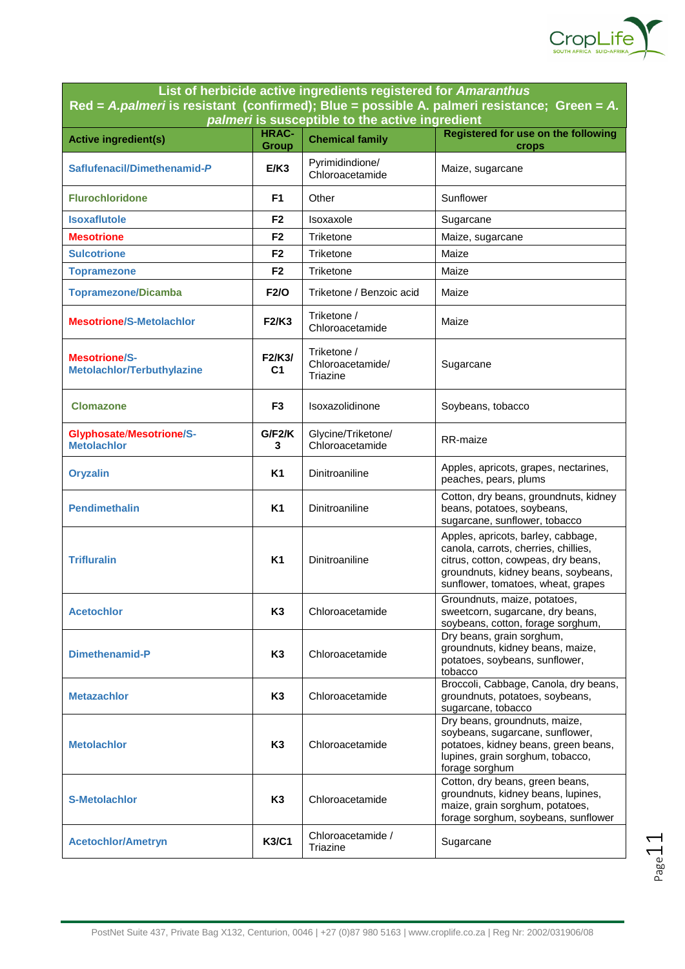

**List of herbicide active ingredients registered for** *Amaranthus* **Red =** *A.palmeri* **is resistant (confirmed); Blue = possible A. palmeri resistance; Green =** *A. palmeri* **is susceptible to the active ingredient** 

|                                                       |                              | <i>paillien</i> is susceptible to the active ingredient |                                                                                                                                                                                                |
|-------------------------------------------------------|------------------------------|---------------------------------------------------------|------------------------------------------------------------------------------------------------------------------------------------------------------------------------------------------------|
| <b>Active ingredient(s)</b>                           | <b>HRAC-</b><br><b>Group</b> | <b>Chemical family</b>                                  | Registered for use on the following<br>crops                                                                                                                                                   |
| Saflufenacil/Dimethenamid-P                           | E/K3                         | Pyrimidindione/<br>Chloroacetamide                      | Maize, sugarcane                                                                                                                                                                               |
| <b>Flurochloridone</b>                                | F1                           | Other                                                   | Sunflower                                                                                                                                                                                      |
| <b>Isoxaflutole</b>                                   | F2                           | Isoxaxole                                               | Sugarcane                                                                                                                                                                                      |
| <b>Mesotrione</b>                                     | F <sub>2</sub>               | Triketone                                               | Maize, sugarcane                                                                                                                                                                               |
| <b>Sulcotrione</b>                                    | F <sub>2</sub>               | Triketone                                               | Maize                                                                                                                                                                                          |
| <b>Topramezone</b>                                    | F <sub>2</sub>               | Triketone                                               | Maize                                                                                                                                                                                          |
| <b>Topramezone/Dicamba</b>                            | <b>F2/O</b>                  | Triketone / Benzoic acid                                | Maize                                                                                                                                                                                          |
| <b>Mesotrione/S-Metolachlor</b>                       | <b>F2/K3</b>                 | Triketone /<br>Chloroacetamide                          | Maize                                                                                                                                                                                          |
| <b>Mesotrione/S-</b><br>Metolachlor/Terbuthylazine    | F2/K3/<br>C1                 | Triketone /<br>Chloroacetamide/<br>Triazine             | Sugarcane                                                                                                                                                                                      |
| <b>Clomazone</b>                                      | F3                           | Isoxazolidinone                                         | Soybeans, tobacco                                                                                                                                                                              |
| <b>Glyphosate/Mesotrione/S-</b><br><b>Metolachlor</b> | G/F <sub>2</sub> /K<br>3     | Glycine/Triketone/<br>Chloroacetamide                   | RR-maize                                                                                                                                                                                       |
| <b>Oryzalin</b>                                       | <b>K1</b>                    | Dinitroaniline                                          | Apples, apricots, grapes, nectarines,<br>peaches, pears, plums                                                                                                                                 |
| <b>Pendimethalin</b>                                  | <b>K1</b>                    | Dinitroaniline                                          | Cotton, dry beans, groundnuts, kidney<br>beans, potatoes, soybeans,<br>sugarcane, sunflower, tobacco                                                                                           |
| <b>Trifluralin</b>                                    | <b>K1</b>                    | Dinitroaniline                                          | Apples, apricots, barley, cabbage,<br>canola, carrots, cherries, chillies,<br>citrus, cotton, cowpeas, dry beans,<br>groundnuts, kidney beans, soybeans,<br>sunflower, tomatoes, wheat, grapes |
| <b>Acetochlor</b>                                     | K <sub>3</sub>               | Chloroacetamide                                         | Groundnuts, maize, potatoes,<br>sweetcorn, sugarcane, dry beans,<br>soybeans, cotton, forage sorghum,                                                                                          |
| Dimethenamid-P                                        | K <sub>3</sub>               | Chloroacetamide                                         | Dry beans, grain sorghum,<br>groundnuts, kidney beans, maize,<br>potatoes, soybeans, sunflower,<br>tobacco                                                                                     |
| <b>Metazachlor</b>                                    | K <sub>3</sub>               | Chloroacetamide                                         | Broccoli, Cabbage, Canola, dry beans,<br>groundnuts, potatoes, soybeans,<br>sugarcane, tobacco                                                                                                 |
| <b>Metolachlor</b>                                    | K <sub>3</sub>               | Chloroacetamide                                         | Dry beans, groundnuts, maize,<br>soybeans, sugarcane, sunflower,<br>potatoes, kidney beans, green beans,<br>lupines, grain sorghum, tobacco,<br>forage sorghum                                 |
| <b>S-Metolachlor</b>                                  | K <sub>3</sub>               | Chloroacetamide                                         | Cotton, dry beans, green beans,<br>groundnuts, kidney beans, lupines,<br>maize, grain sorghum, potatoes,<br>forage sorghum, soybeans, sunflower                                                |
| <b>Acetochlor/Ametryn</b>                             | <b>K3/C1</b>                 | Chloroacetamide /<br>Triazine                           | Sugarcane                                                                                                                                                                                      |

Page11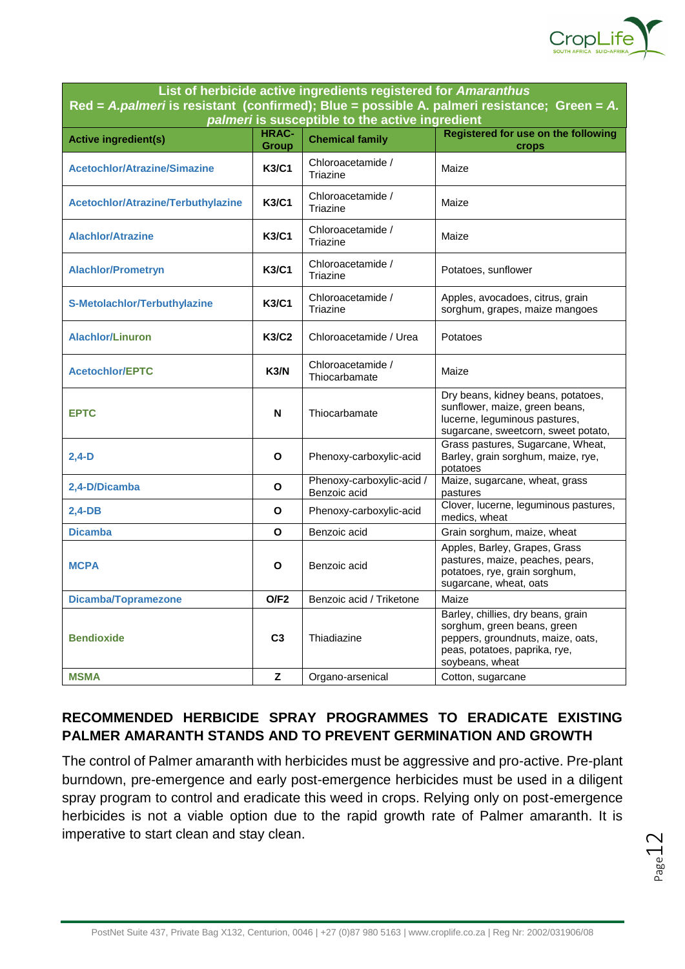

| List of herbiclue active ingredients registered for <i>Amaramin</i> as<br>Red = A.palmeri is resistant (confirmed); Blue = possible A. palmeri resistance; Green = $A$ .<br>palmeri is susceptible to the active ingredient |                              |                                           |                                                                                                                                                            |  |  |
|-----------------------------------------------------------------------------------------------------------------------------------------------------------------------------------------------------------------------------|------------------------------|-------------------------------------------|------------------------------------------------------------------------------------------------------------------------------------------------------------|--|--|
| <b>Active ingredient(s)</b>                                                                                                                                                                                                 | <b>HRAC-</b><br><b>Group</b> | <b>Chemical family</b>                    | <b>Registered for use on the following</b><br>crops                                                                                                        |  |  |
| <b>Acetochlor/Atrazine/Simazine</b>                                                                                                                                                                                         | <b>K3/C1</b>                 | Chloroacetamide /<br>Triazine             | Maize                                                                                                                                                      |  |  |
| Acetochlor/Atrazine/Terbuthylazine                                                                                                                                                                                          | K3/C1                        | Chloroacetamide /<br>Triazine             | Maize                                                                                                                                                      |  |  |
| <b>Alachlor/Atrazine</b>                                                                                                                                                                                                    | K3/C1                        | Chloroacetamide /<br>Triazine             | Maize                                                                                                                                                      |  |  |
| <b>Alachlor/Prometryn</b>                                                                                                                                                                                                   | <b>K3/C1</b>                 | Chloroacetamide /<br>Triazine             | Potatoes, sunflower                                                                                                                                        |  |  |
| S-Metolachlor/Terbuthylazine                                                                                                                                                                                                | <b>K3/C1</b>                 | Chloroacetamide /<br>Triazine             | Apples, avocadoes, citrus, grain<br>sorghum, grapes, maize mangoes                                                                                         |  |  |
| <b>Alachlor/Linuron</b>                                                                                                                                                                                                     | K3/C2                        | Chloroacetamide / Urea                    | Potatoes                                                                                                                                                   |  |  |
| <b>Acetochlor/EPTC</b>                                                                                                                                                                                                      | K3/N                         | Chloroacetamide /<br>Thiocarbamate        | Maize                                                                                                                                                      |  |  |
| <b>EPTC</b>                                                                                                                                                                                                                 | N                            | Thiocarbamate                             | Dry beans, kidney beans, potatoes,<br>sunflower, maize, green beans,<br>lucerne, leguminous pastures,<br>sugarcane, sweetcorn, sweet potato,               |  |  |
| $2,4-D$                                                                                                                                                                                                                     | O                            | Phenoxy-carboxylic-acid                   | Grass pastures, Sugarcane, Wheat,<br>Barley, grain sorghum, maize, rye,<br>potatoes                                                                        |  |  |
| 2,4-D/Dicamba                                                                                                                                                                                                               | O                            | Phenoxy-carboxylic-acid /<br>Benzoic acid | Maize, sugarcane, wheat, grass<br>pastures                                                                                                                 |  |  |
| $2,4-DB$                                                                                                                                                                                                                    | O                            | Phenoxy-carboxylic-acid                   | Clover, lucerne, leguminous pastures,<br>medics, wheat                                                                                                     |  |  |
| <b>Dicamba</b>                                                                                                                                                                                                              | O                            | Benzoic acid                              | Grain sorghum, maize, wheat                                                                                                                                |  |  |
| <b>MCPA</b>                                                                                                                                                                                                                 | O                            | Benzoic acid                              | Apples, Barley, Grapes, Grass<br>pastures, maize, peaches, pears,<br>potatoes, rye, grain sorghum,<br>sugarcane, wheat, oats                               |  |  |
| <b>Dicamba/Topramezone</b>                                                                                                                                                                                                  | O/F2                         | Benzoic acid / Triketone                  | Maize                                                                                                                                                      |  |  |
| <b>Bendioxide</b>                                                                                                                                                                                                           | C <sub>3</sub>               | Thiadiazine                               | Barley, chillies, dry beans, grain<br>sorghum, green beans, green<br>peppers, groundnuts, maize, oats,<br>peas, potatoes, paprika, rye,<br>soybeans, wheat |  |  |
| <b>MSMA</b>                                                                                                                                                                                                                 | z                            | Organo-arsenical                          | Cotton, sugarcane                                                                                                                                          |  |  |

**List of herbicide active ingredients registered for** *Amaranthus*

## **RECOMMENDED HERBICIDE SPRAY PROGRAMMES TO ERADICATE EXISTING PALMER AMARANTH STANDS AND TO PREVENT GERMINATION AND GROWTH**

The control of Palmer amaranth with herbicides must be aggressive and pro-active. Pre-plant burndown, pre-emergence and early post-emergence herbicides must be used in a diligent spray program to control and eradicate this weed in crops. Relying only on post-emergence herbicides is not a viable option due to the rapid growth rate of Palmer amaranth. It is imperative to start clean and stay clean.

 $P_{\rm age}12$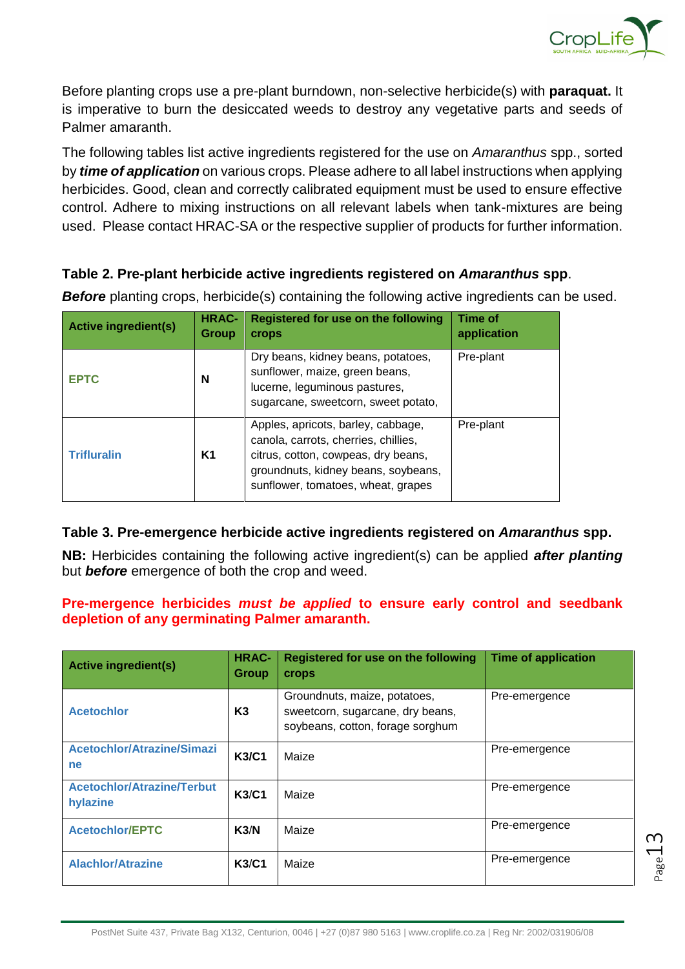

 $P_{{\sf age}}13$ 

Before planting crops use a pre-plant burndown, non-selective herbicide(s) with **paraquat.** It is imperative to burn the desiccated weeds to destroy any vegetative parts and seeds of Palmer amaranth.

The following tables list active ingredients registered for the use on *Amaranthus* spp., sorted by *time of application* on various crops. Please adhere to all label instructions when applying herbicides. Good, clean and correctly calibrated equipment must be used to ensure effective control. Adhere to mixing instructions on all relevant labels when tank-mixtures are being used. Please contact HRAC-SA or the respective supplier of products for further information.

## **Table 2. Pre-plant herbicide active ingredients registered on** *Amaranthus* **spp**.

| <b>Active ingredient(s)</b> | <b>HRAC-</b><br>Group | Registered for use on the following<br><b>crops</b>                                                                                                                                            | Time of<br>application |
|-----------------------------|-----------------------|------------------------------------------------------------------------------------------------------------------------------------------------------------------------------------------------|------------------------|
| <b>EPTC</b>                 | N                     | Dry beans, kidney beans, potatoes,<br>sunflower, maize, green beans,<br>lucerne, leguminous pastures,<br>sugarcane, sweetcorn, sweet potato,                                                   | Pre-plant              |
| <b>Trifluralin</b>          | K1                    | Apples, apricots, barley, cabbage,<br>canola, carrots, cherries, chillies,<br>citrus, cotton, cowpeas, dry beans,<br>groundnuts, kidney beans, soybeans,<br>sunflower, tomatoes, wheat, grapes | Pre-plant              |

**Before** planting crops, herbicide(s) containing the following active ingredients can be used.

## **Table 3. Pre-emergence herbicide active ingredients registered on** *Amaranthus* **spp.**

**NB:** Herbicides containing the following active ingredient(s) can be applied *after planting* but *before* emergence of both the crop and weed.

#### **Pre-mergence herbicides** *must be applied* **to ensure early control and seedbank depletion of any germinating Palmer amaranth.**

| <b>Active ingredient(s)</b>                   | <b>HRAC-</b><br><b>Group</b> | Registered for use on the following<br>crops                                                         | <b>Time of application</b> |
|-----------------------------------------------|------------------------------|------------------------------------------------------------------------------------------------------|----------------------------|
| <b>Acetochlor</b>                             | K3                           | Groundnuts, maize, potatoes,<br>sweetcorn, sugarcane, dry beans,<br>soybeans, cotton, forage sorghum | Pre-emergence              |
| <b>Acetochlor/Atrazine/Simazi</b><br>ne       | <b>K3/C1</b>                 | Maize                                                                                                | Pre-emergence              |
| <b>Acetochlor/Atrazine/Terbut</b><br>hylazine | <b>K3/C1</b>                 | Maize                                                                                                | Pre-emergence              |
| <b>Acetochlor/EPTC</b>                        | K3/N                         | Maize                                                                                                | Pre-emergence              |
| <b>Alachlor/Atrazine</b>                      | K3/C1                        | Maize                                                                                                | Pre-emergence              |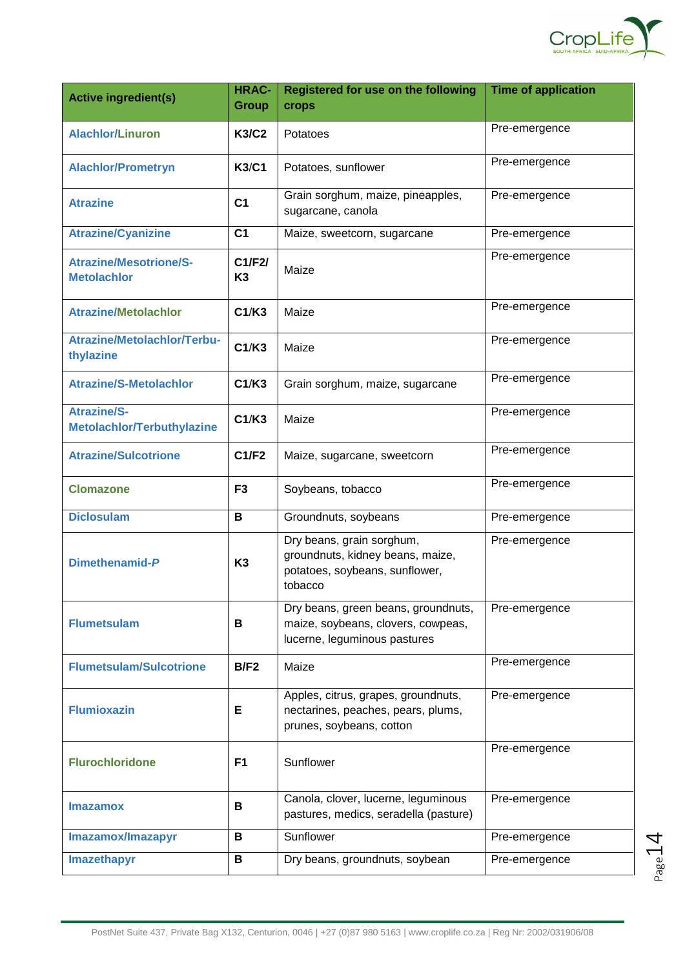

| <b>Active ingredient(s)</b>                         | <b>HRAC-</b><br><b>Group</b> | Registered for use on the following<br>crops                                                               | <b>Time of application</b> |
|-----------------------------------------------------|------------------------------|------------------------------------------------------------------------------------------------------------|----------------------------|
| <b>Alachlor/Linuron</b>                             | <b>K3/C2</b>                 | Potatoes                                                                                                   | Pre-emergence              |
| <b>Alachlor/Prometryn</b>                           | <b>K3/C1</b>                 | Potatoes, sunflower                                                                                        | Pre-emergence              |
| <b>Atrazine</b>                                     | C <sub>1</sub>               | Grain sorghum, maize, pineapples,<br>sugarcane, canola                                                     | Pre-emergence              |
| <b>Atrazine/Cyanizine</b>                           | C <sub>1</sub>               | Maize, sweetcorn, sugarcane                                                                                | Pre-emergence              |
| <b>Atrazine/Mesotrione/S-</b><br><b>Metolachlor</b> | C1/F2/<br>K <sub>3</sub>     | Maize                                                                                                      | Pre-emergence              |
| <b>Atrazine/Metolachlor</b>                         | C1/K3                        | Maize                                                                                                      | Pre-emergence              |
| <b>Atrazine/Metolachlor/Terbu-</b><br>thylazine     | C1/K3                        | Maize                                                                                                      | Pre-emergence              |
| <b>Atrazine/S-Metolachlor</b>                       | C1/K3                        | Grain sorghum, maize, sugarcane                                                                            | Pre-emergence              |
| <b>Atrazine/S-</b><br>Metolachlor/Terbuthylazine    | C1/K3                        | Maize                                                                                                      | Pre-emergence              |
| <b>Atrazine/Sulcotrione</b>                         | C1/F2                        | Maize, sugarcane, sweetcorn                                                                                | Pre-emergence              |
| <b>Clomazone</b>                                    | F <sub>3</sub>               | Soybeans, tobacco                                                                                          | Pre-emergence              |
| <b>Diclosulam</b>                                   | В                            | Groundnuts, soybeans                                                                                       | Pre-emergence              |
| Dimethenamid-P                                      | K <sub>3</sub>               | Dry beans, grain sorghum,<br>groundnuts, kidney beans, maize,<br>potatoes, soybeans, sunflower,<br>tobacco | Pre-emergence              |
| <b>Flumetsulam</b>                                  | В                            | Dry beans, green beans, groundnuts,<br>maize, soybeans, clovers, cowpeas,<br>lucerne, leguminous pastures  | Pre-emergence              |
| <b>Flumetsulam/Sulcotrione</b>                      | B/F2                         | Maize                                                                                                      | Pre-emergence              |
| <b>Flumioxazin</b>                                  | Е                            | Apples, citrus, grapes, groundnuts,<br>nectarines, peaches, pears, plums,<br>prunes, soybeans, cotton      | Pre-emergence              |
| <b>Flurochloridone</b>                              | F <sub>1</sub>               | Sunflower                                                                                                  | Pre-emergence              |
| <b>Imazamox</b>                                     | В                            | Canola, clover, lucerne, leguminous<br>pastures, medics, seradella (pasture)                               | Pre-emergence              |
| Imazamox/Imazapyr                                   | В                            | Sunflower                                                                                                  | Pre-emergence              |
| Imazethapyr                                         | В                            | Dry beans, groundnuts, soybean                                                                             | Pre-emergence              |

Page14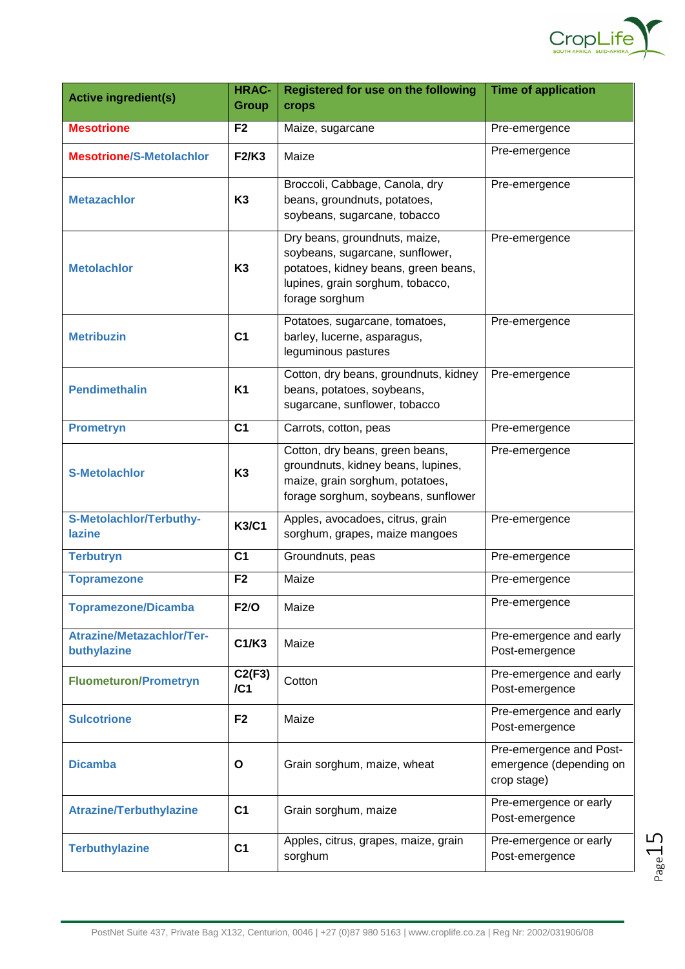

| <b>Active ingredient(s)</b>                     | <b>HRAC-</b><br><b>Group</b> | Registered for use on the following<br>crops                                                                                                                   | <b>Time of application</b>                                        |
|-------------------------------------------------|------------------------------|----------------------------------------------------------------------------------------------------------------------------------------------------------------|-------------------------------------------------------------------|
| <b>Mesotrione</b>                               | F <sub>2</sub>               | Maize, sugarcane                                                                                                                                               | Pre-emergence                                                     |
| <b>Mesotrione/S-Metolachlor</b>                 | <b>F2/K3</b>                 | Maize                                                                                                                                                          | Pre-emergence                                                     |
| <b>Metazachlor</b>                              | K <sub>3</sub>               | Broccoli, Cabbage, Canola, dry<br>beans, groundnuts, potatoes,<br>soybeans, sugarcane, tobacco                                                                 | Pre-emergence                                                     |
| <b>Metolachlor</b>                              | K <sub>3</sub>               | Dry beans, groundnuts, maize,<br>soybeans, sugarcane, sunflower,<br>potatoes, kidney beans, green beans,<br>lupines, grain sorghum, tobacco,<br>forage sorghum | Pre-emergence                                                     |
| <b>Metribuzin</b>                               | C <sub>1</sub>               | Potatoes, sugarcane, tomatoes,<br>barley, lucerne, asparagus,<br>leguminous pastures                                                                           | Pre-emergence                                                     |
| <b>Pendimethalin</b>                            | <b>K1</b>                    | Cotton, dry beans, groundnuts, kidney<br>beans, potatoes, soybeans,<br>sugarcane, sunflower, tobacco                                                           | Pre-emergence                                                     |
| <b>Prometryn</b>                                | C <sub>1</sub>               | Carrots, cotton, peas                                                                                                                                          | Pre-emergence                                                     |
| <b>S-Metolachlor</b>                            | K <sub>3</sub>               | Cotton, dry beans, green beans,<br>groundnuts, kidney beans, lupines,<br>maize, grain sorghum, potatoes,<br>forage sorghum, soybeans, sunflower                | Pre-emergence                                                     |
| S-Metolachlor/Terbuthy-<br>lazine               | <b>K3/C1</b>                 | Apples, avocadoes, citrus, grain<br>sorghum, grapes, maize mangoes                                                                                             | Pre-emergence                                                     |
| <b>Terbutryn</b>                                | C <sub>1</sub>               | Groundnuts, peas                                                                                                                                               | Pre-emergence                                                     |
| <b>Topramezone</b>                              | F <sub>2</sub>               | Maize                                                                                                                                                          | Pre-emergence                                                     |
| <b>Topramezone/Dicamba</b>                      | F2/O                         | Maize                                                                                                                                                          | Pre-emergence                                                     |
| <b>Atrazine/Metazachlor/Ter-</b><br>buthylazine | C1/K3                        | Maize                                                                                                                                                          | Pre-emergence and early<br>Post-emergence                         |
| <b>Fluometuron/Prometryn</b>                    | C2(F3)<br>/CI                | Cotton                                                                                                                                                         | Pre-emergence and early<br>Post-emergence                         |
| <b>Sulcotrione</b>                              | F <sub>2</sub>               | Maize                                                                                                                                                          | Pre-emergence and early<br>Post-emergence                         |
| <b>Dicamba</b>                                  | O                            | Grain sorghum, maize, wheat                                                                                                                                    | Pre-emergence and Post-<br>emergence (depending on<br>crop stage) |
| <b>Atrazine/Terbuthylazine</b>                  | C <sub>1</sub>               | Grain sorghum, maize                                                                                                                                           | Pre-emergence or early<br>Post-emergence                          |
| <b>Terbuthylazine</b>                           | C <sub>1</sub>               | Apples, citrus, grapes, maize, grain<br>sorghum                                                                                                                | Pre-emergence or early<br>Post-emergence                          |

Page15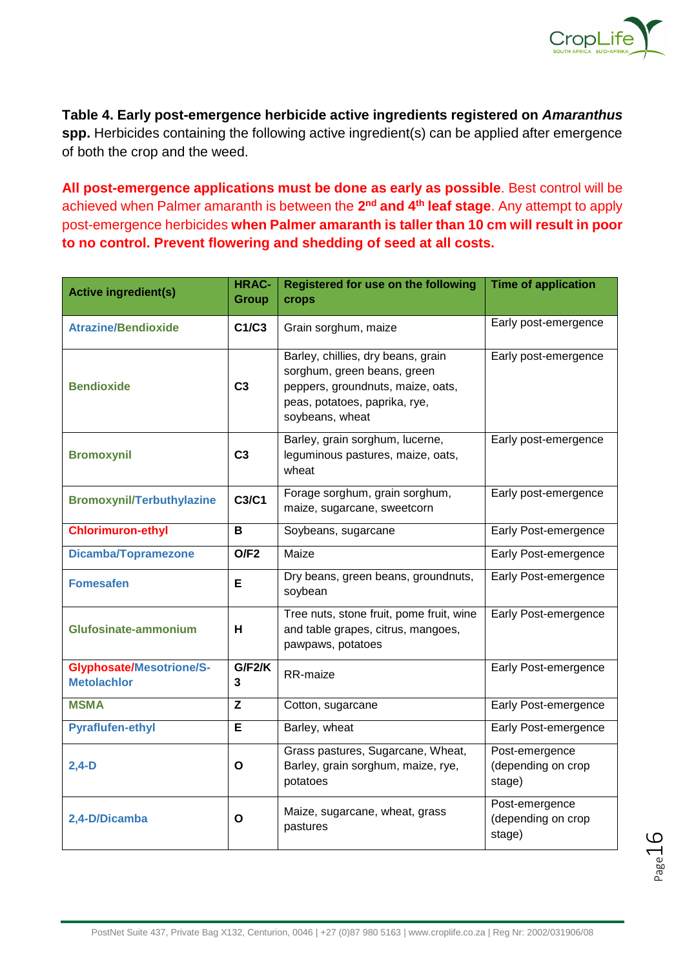

**Table 4. Early post-emergence herbicide active ingredients registered on** *Amaranthus* **spp.** Herbicides containing the following active ingredient(s) can be applied after emergence of both the crop and the weed.

**All post-emergence applications must be done as early as possible**. Best control will be achieved when Palmer amaranth is between the 2<sup>nd</sup> and 4<sup>th</sup> leaf stage. Any attempt to apply post-emergence herbicides **when Palmer amaranth is taller than 10 cm will result in poor to no control. Prevent flowering and shedding of seed at all costs.**

| <b>Active ingredient(s)</b>                           | <b>HRAC-</b><br><b>Group</b> | Registered for use on the following<br>crops                                                                                                               | <b>Time of application</b>                     |
|-------------------------------------------------------|------------------------------|------------------------------------------------------------------------------------------------------------------------------------------------------------|------------------------------------------------|
| <b>Atrazine/Bendioxide</b>                            | C1/C3                        | Grain sorghum, maize                                                                                                                                       | Early post-emergence                           |
| <b>Bendioxide</b>                                     | C <sub>3</sub>               | Barley, chillies, dry beans, grain<br>sorghum, green beans, green<br>peppers, groundnuts, maize, oats,<br>peas, potatoes, paprika, rye,<br>soybeans, wheat | Early post-emergence                           |
| <b>Bromoxynil</b>                                     | C <sub>3</sub>               | Barley, grain sorghum, lucerne,<br>leguminous pastures, maize, oats,<br>wheat                                                                              | Early post-emergence                           |
| <b>Bromoxynil/Terbuthylazine</b>                      | C3/C1                        | Forage sorghum, grain sorghum,<br>maize, sugarcane, sweetcorn                                                                                              | Early post-emergence                           |
| <b>Chlorimuron-ethyl</b>                              | B                            | Soybeans, sugarcane                                                                                                                                        | Early Post-emergence                           |
| <b>Dicamba/Topramezone</b>                            | O/F2                         | Maize                                                                                                                                                      | Early Post-emergence                           |
| <b>Fomesafen</b>                                      | Е                            | Dry beans, green beans, groundnuts,<br>soybean                                                                                                             | Early Post-emergence                           |
| <b>Glufosinate-ammonium</b>                           | H                            | Tree nuts, stone fruit, pome fruit, wine<br>and table grapes, citrus, mangoes,<br>pawpaws, potatoes                                                        | Early Post-emergence                           |
| <b>Glyphosate/Mesotrione/S-</b><br><b>Metolachlor</b> | G/F2/K<br>3                  | RR-maize                                                                                                                                                   | Early Post-emergence                           |
| <b>MSMA</b>                                           | Z                            | Cotton, sugarcane                                                                                                                                          | Early Post-emergence                           |
| <b>Pyraflufen-ethyl</b>                               | E                            | Barley, wheat                                                                                                                                              | Early Post-emergence                           |
| $2,4-D$                                               | O                            | Grass pastures, Sugarcane, Wheat,<br>Barley, grain sorghum, maize, rye,<br>potatoes                                                                        | Post-emergence<br>(depending on crop<br>stage) |
| 2,4-D/Dicamba                                         | O                            | Maize, sugarcane, wheat, grass<br>pastures                                                                                                                 | Post-emergence<br>(depending on crop<br>stage) |

Page16